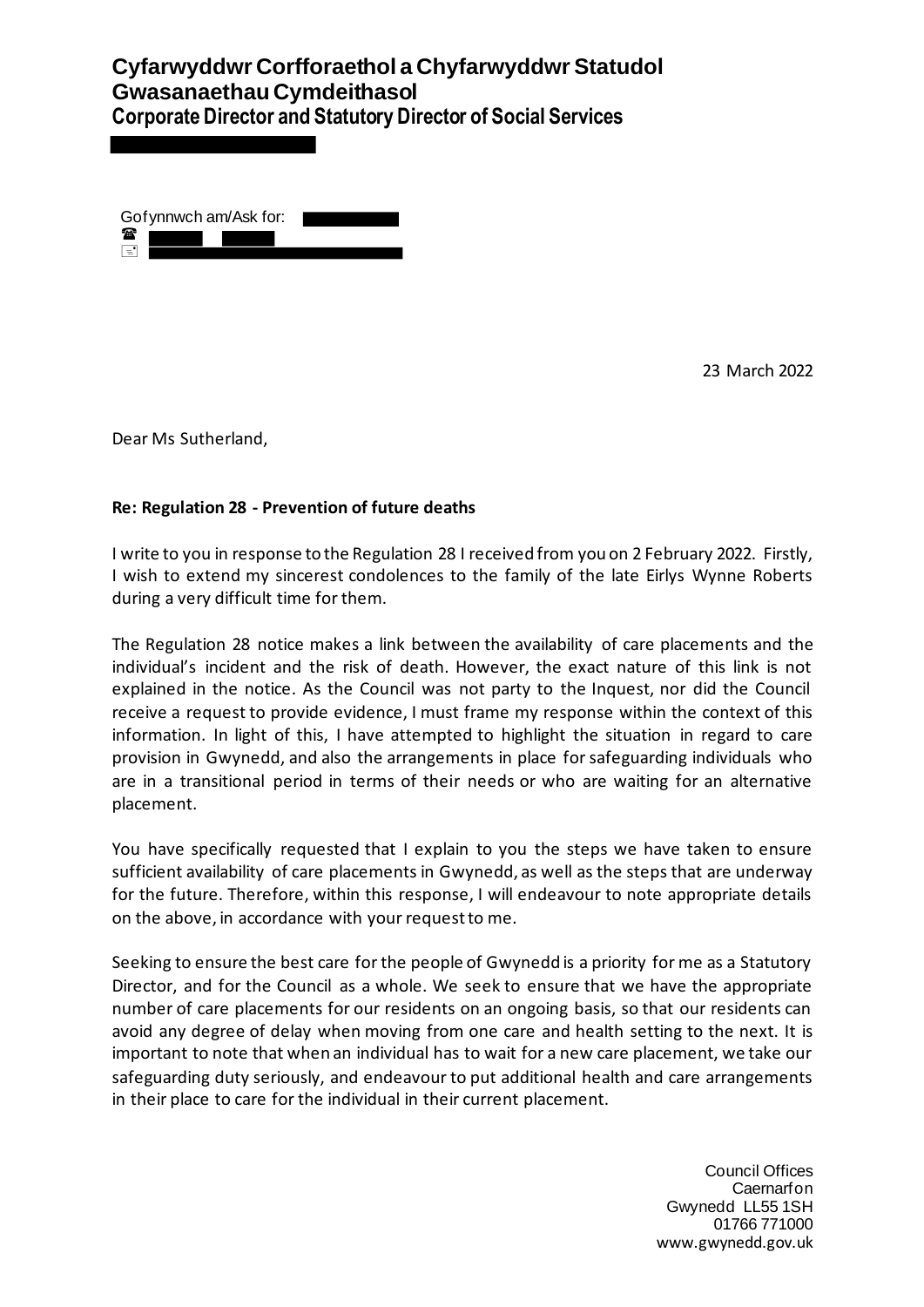| Gof ynnwch am/Ask for: |  |
|------------------------|--|
| 雷                      |  |
| ≡'                     |  |

23 March 2022

Dear Ms Sutherland,

#### **Re: Regulation 28 - Prevention of future deaths**

I write to you in response to the Regulation 28 I received from you on 2 February 2022. Firstly, I wish to extend my sincerest condolences to the family of the late Eirlys Wynne Roberts during a very difficult time for them.

The Regulation 28 notice makes a link between the availability of care placements and the individual's incident and the risk of death. However, the exact nature of this link is not explained in the notice. As the Council was not party to the Inquest, nor did the Council receive a request to provide evidence, I must frame my response within the context of this information. In light of this, I have attempted to highlight the situation in regard to care provision in Gwynedd, and also the arrangements in place for safeguarding individuals who are in a transitional period in terms of their needs or who are waiting for an alternative placement.

You have specifically requested that I explain to you the steps we have taken to ensure sufficient availability of care placements in Gwynedd, as well as the steps that are underway for the future. Therefore, within this response, I will endeavour to note appropriate details on the above, in accordance with your request to me.

Seeking to ensure the best care for the people of Gwynedd is a priority for me as a Statutory Director, and for the Council as a whole. We seek to ensure that we have the appropriate number of care placements for our residents on an ongoing basis, so that our residents can avoid any degree of delay when moving from one care and health setting to the next. It is important to note that when an individual has to wait for a new care placement, we take our safeguarding duty seriously, and endeavour to put additional health and care arrangements in their place to care for the individual in their current placement.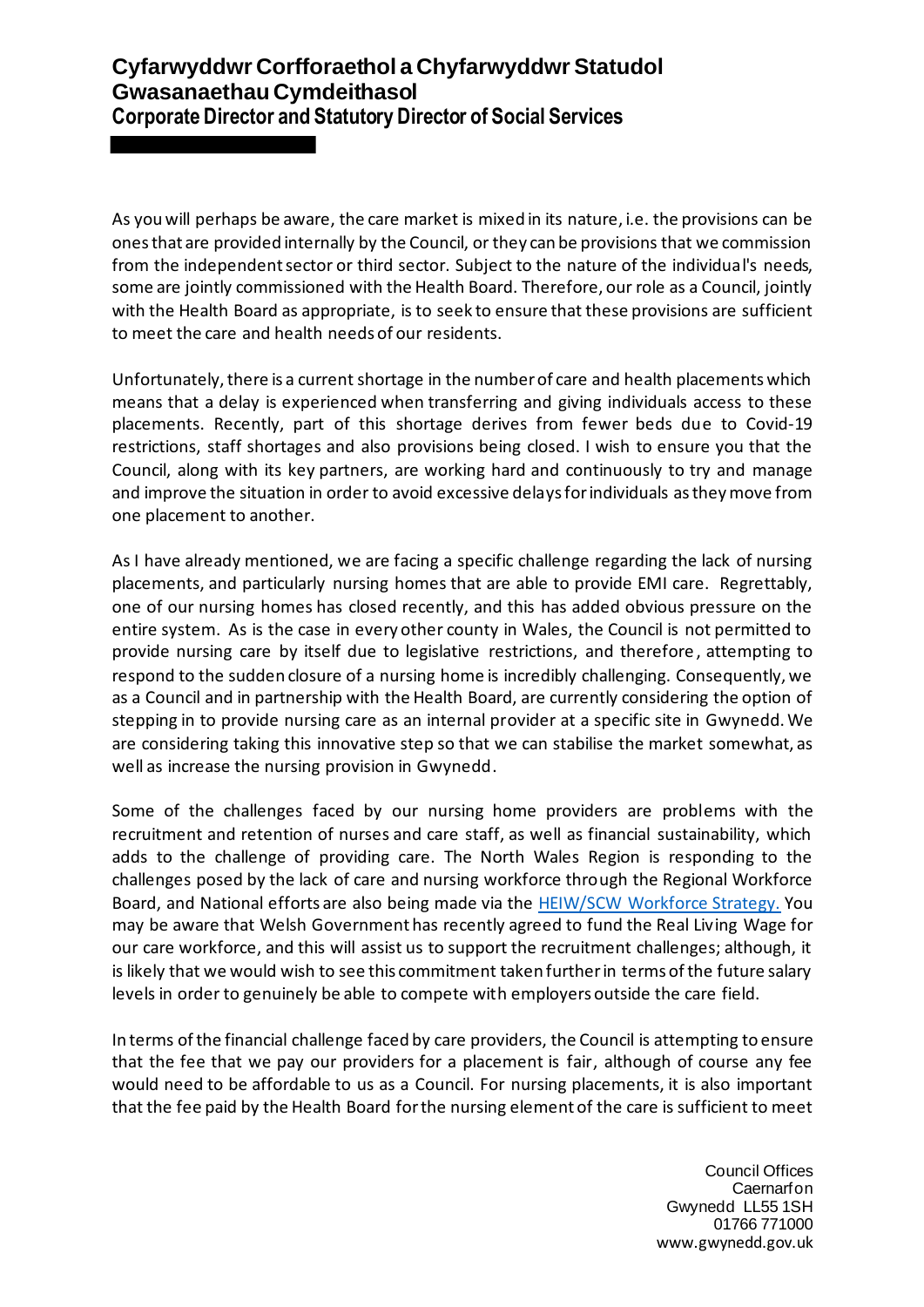As you will perhaps be aware, the care market is mixed in its nature, i.e. the provisions can be ones that are provided internally by the Council, or they can be provisions that we commission from the independent sector or third sector. Subject to the nature of the individual's needs, some are jointly commissioned with the Health Board. Therefore, our role as a Council, jointly with the Health Board as appropriate, is to seek to ensure that these provisions are sufficient to meet the care and health needs of our residents.

Unfortunately, there is a current shortage in the number of care and health placements which means that a delay is experienced when transferring and giving individuals access to these placements. Recently, part of this shortage derives from fewer beds due to Covid-19 restrictions, staff shortages and also provisions being closed. I wish to ensure you that the Council, along with its key partners, are working hard and continuously to try and manage and improve the situation in order to avoid excessive delays for individuals as they move from one placement to another.

As I have already mentioned, we are facing a specific challenge regarding the lack of nursing placements, and particularly nursing homes that are able to provide EMI care. Regrettably, one of our nursing homes has closed recently, and this has added obvious pressure on the entire system. As is the case in every other county in Wales, the Council is not permitted to provide nursing care by itself due to legislative restrictions, and therefore , attempting to respond to the sudden closure of a nursing home is incredibly challenging. Consequently, we as a Council and in partnership with the Health Board, are currently considering the option of stepping in to provide nursing care as an internal provider at a specific site in Gwynedd. We are considering taking this innovative step so that we can stabilise the market somewhat, as well as increase the nursing provision in Gwynedd.

Some of the challenges faced by our nursing home providers are problems with the recruitment and retention of nurses and care staff, as well as financial sustainability, which adds to the challenge of providing care. The North Wales Region is responding to the challenges posed by the lack of care and nursing workforce through the Regional Workforce Board, and National efforts are also being made via the [HEIW/SCW Workforce Strategy.](https://heiw.nhs.wales/files/workforce-strategy/) You may be aware that Welsh Government has recently agreed to fund the Real Living Wage for our care workforce, and this will assist us to support the recruitment challenges; although, it is likely that we would wish to see this commitment taken further in terms of the future salary levels in order to genuinely be able to compete with employers outside the care field.

In terms of the financial challenge faced by care providers, the Council is attempting to ensure that the fee that we pay our providers for a placement is fair, although of course any fee would need to be affordable to us as a Council. For nursing placements, it is also important that the fee paid by the Health Board for the nursing element of the care is sufficient to meet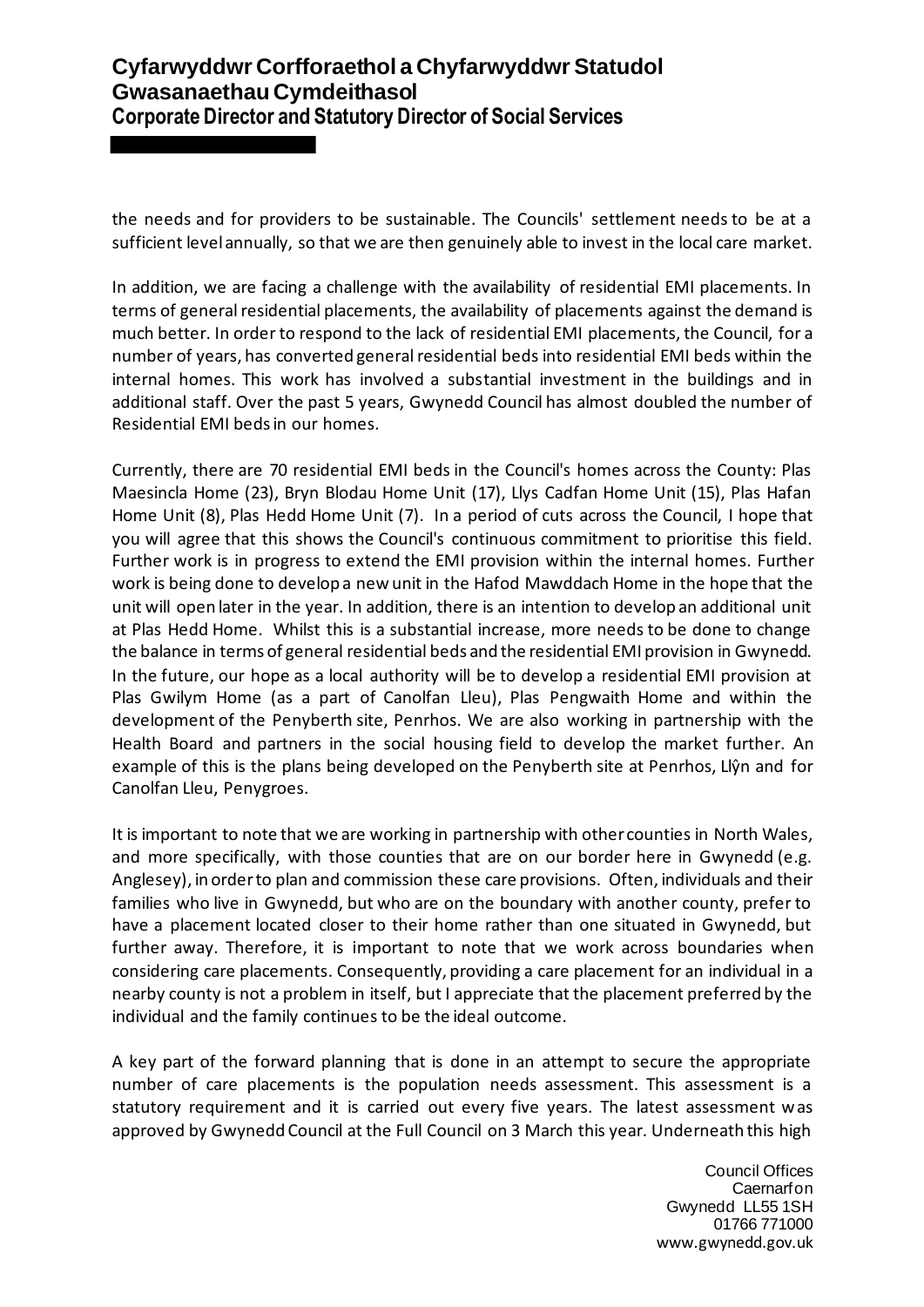the needs and for providers to be sustainable. The Councils' settlement needs to be at a sufficient level annually, so that we are then genuinely able to invest in the local care market.

In addition, we are facing a challenge with the availability of residential EMI placements. In terms of general residential placements, the availability of placements against the demand is much better. In order to respond to the lack of residential EMI placements, the Council, for a number of years, has converted general residential beds into residential EMI beds within the internal homes. This work has involved a substantial investment in the buildings and in additional staff. Over the past 5 years, Gwynedd Council has almost doubled the number of Residential EMI beds in our homes.

Currently, there are 70 residential EMI beds in the Council's homes across the County: Plas Maesincla Home (23), Bryn Blodau Home Unit (17), Llys Cadfan Home Unit (15), Plas Hafan Home Unit (8), Plas Hedd Home Unit (7). In a period of cuts across the Council, I hope that you will agree that this shows the Council's continuous commitment to prioritise this field. Further work is in progress to extend the EMI provision within the internal homes. Further work is being done to develop a new unit in the Hafod Mawddach Home in the hope that the unit will open later in the year. In addition, there is an intention to develop an additional unit at Plas Hedd Home. Whilst this is a substantial increase, more needs to be done to change the balance in terms of general residential beds and the residential EMI provision in Gwynedd. In the future, our hope as a local authority will be to develop a residential EMI provision at Plas Gwilym Home (as a part of Canolfan Lleu), Plas Pengwaith Home and within the development of the Penyberth site, Penrhos. We are also working in partnership with the Health Board and partners in the social housing field to develop the market further. An example of this is the plans being developed on the Penyberth site at Penrhos, Llŷn and for Canolfan Lleu, Penygroes.

It is important to note that we are working in partnership with other counties in North Wales, and more specifically, with those counties that are on our border here in Gwynedd (e.g. Anglesey), in order to plan and commission these care provisions. Often, individuals and their families who live in Gwynedd, but who are on the boundary with another county, prefer to have a placement located closer to their home rather than one situated in Gwynedd, but further away. Therefore, it is important to note that we work across boundaries when considering care placements. Consequently, providing a care placement for an individual in a nearby county is not a problem in itself, but I appreciate that the placement preferred by the individual and the family continues to be the ideal outcome.

A key part of the forward planning that is done in an attempt to secure the appropriate number of care placements is the population needs assessment. This assessment is a statutory requirement and it is carried out every five years. The latest assessment was approved by Gwynedd Council at the Full Council on 3 March this year. Underneath this high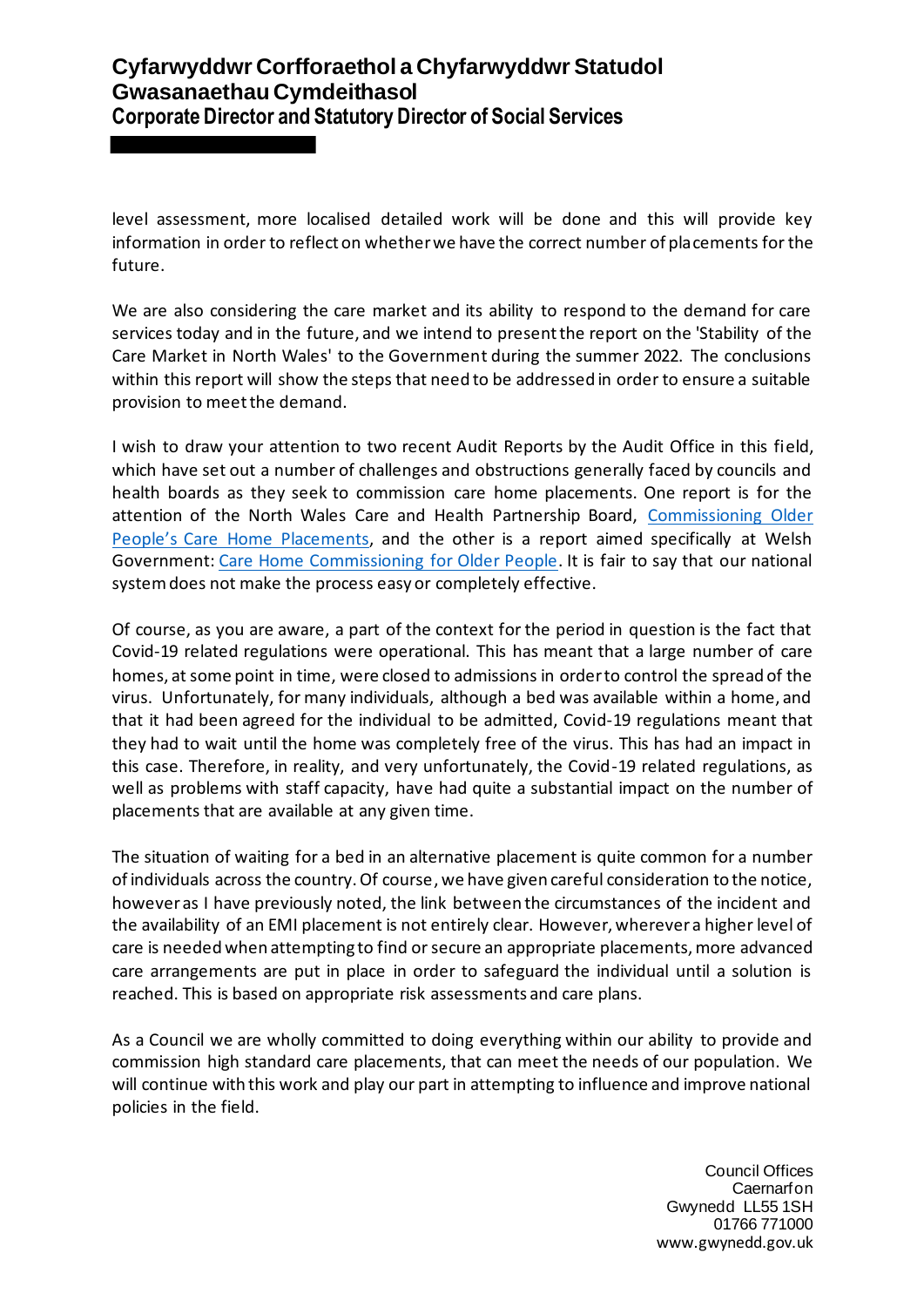level assessment, more localised detailed work will be done and this will provide key information in order to reflect on whether we have the correct number of placements for the future.

We are also considering the care market and its ability to respond to the demand for care services today and in the future, and we intend to present the report on the 'Stability of the Care Market in North Wales' to the Government during the summer 2022. The conclusions within this report will show the steps that need to be addressed in order to ensure a suitable provision to meet the demand.

I wish to draw your attention to two recent Audit Reports by the Audit Office in this field, which have set out a number of challenges and obstructions generally faced by councils and health boards as they seek to commission care home placements. One report is for the attention of the North Wales Care and Health Partnership Board, [Commissioning Older](https://www.audit.wales/sites/default/files/publications/north_wales_councils_older_people_care_home_placements_english_0.pdf)  [People's Care Home](https://www.audit.wales/sites/default/files/publications/north_wales_councils_older_people_care_home_placements_english_0.pdf) Placements, and the other is a report aimed specifically at Welsh Government[: Care Home Commissioning](https://www.audit.wales/sites/default/files/publications/Care%20Home%20Commissioning%20-%20English.pdf) for Older People. It is fair to say that our national system does not make the process easy or completely effective.

Of course, as you are aware, a part of the context for the period in question is the fact that Covid-19 related regulations were operational. This has meant that a large number of care homes, at some point in time, were closed to admissions in order to control the spread of the virus. Unfortunately, for many individuals, although a bed was available within a home, and that it had been agreed for the individual to be admitted, Covid-19 regulations meant that they had to wait until the home was completely free of the virus. This has had an impact in this case. Therefore, in reality, and very unfortunately, the Covid-19 related regulations, as well as problems with staff capacity, have had quite a substantial impact on the number of placements that are available at any given time.

The situation of waiting for a bed in an alternative placement is quite common for a number of individuals across the country. Of course, we have given careful consideration to the notice, however as I have previously noted, the link between the circumstances of the incident and the availability of an EMI placement is not entirely clear. However, wherever a higher level of care is needed when attempting to find or secure an appropriate placements, more advanced care arrangements are put in place in order to safeguard the individual until a solution is reached. This is based on appropriate risk assessments and care plans.

As a Council we are wholly committed to doing everything within our ability to provide and commission high standard care placements, that can meet the needs of our population. We will continue with this work and play our part in attempting to influence and improve national policies in the field.